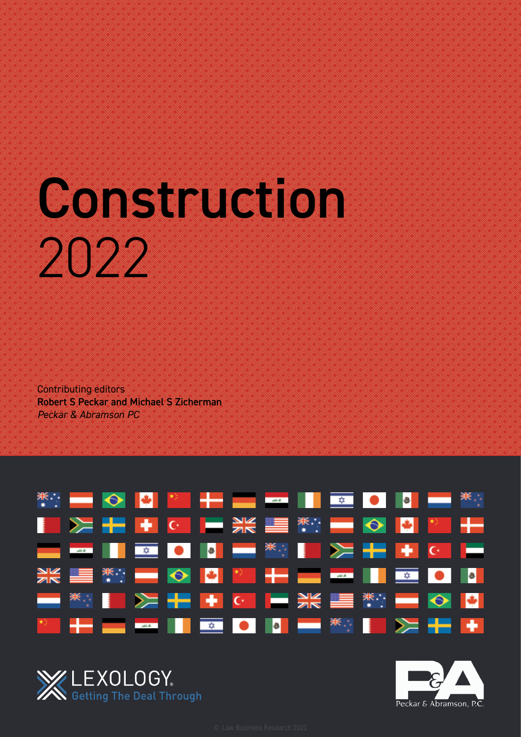# Construction 2022

Contributing editors Robert S Peckar and Michael S Zicherman *Peckar & Abramson PC*





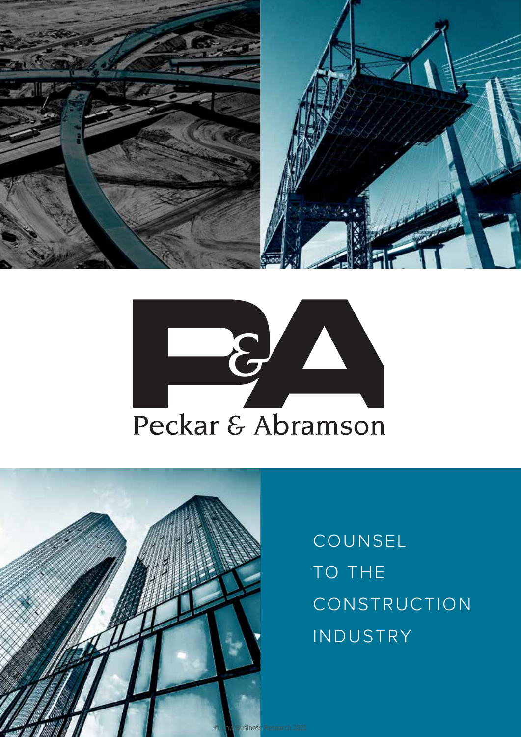





COUNSEL TO THE CONSTRUCTION INDUSTRY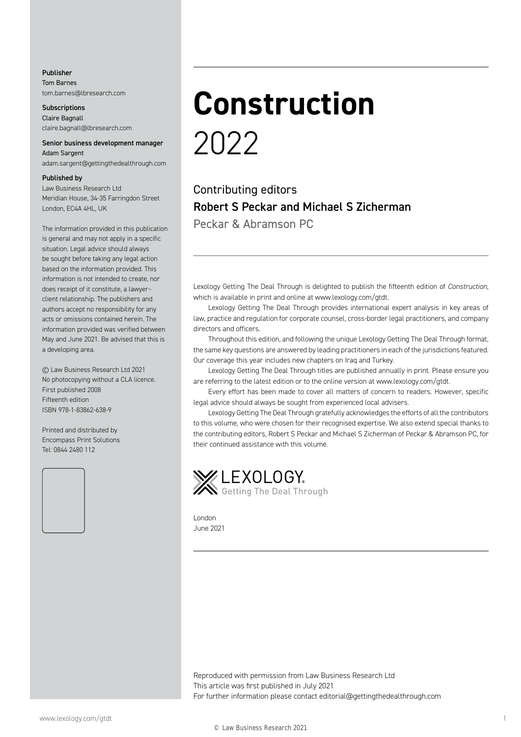Publisher Tom Barnes tom.barnes@lbresearch.com

**Subscriptions** Claire Bagnall claire.bagnall@lbresearch.com

#### Senior business development manager Adam Sargent

adam.sargent@gettingthedealthrough.com

#### Published by

Law Business Research Ltd Meridian House, 34-35 Farringdon Street London, EC4A 4HL, UK

The information provided in this publication is general and may not apply in a specific situation. Legal advice should always be sought before taking any legal action based on the information provided. This information is not intended to create, nor does receipt of it constitute, a lawyer– client relationship. The publishers and authors accept no responsibility for any acts or omissions contained herein. The information provided was verified between May and June 2021. Be advised that this is a developing area.

© Law Business Research Ltd 2021 No photocopying without a CLA licence. First published 2008 Fifteenth edition ISBN 978-1-83862-638-9

Printed and distributed by Encompass Print Solutions Tel: 0844 2480 112



### **Construction** 2022

Contributing editors Robert S Peckar and Michael S Zicherman Peckar & Abramson PC

Lexology Getting The Deal Through is delighted to publish the fifteenth edition of *Construction*, which is available in print and online at www.lexology.com/gtdt.

Lexology Getting The Deal Through provides international expert analysis in key areas of law, practice and regulation for corporate counsel, cross-border legal practitioners, and company directors and officers.

Throughout this edition, and following the unique Lexology Getting The Deal Through format, the same key questions are answered by leading practitioners in each of the jurisdictions featured. Our coverage this year includes new chapters on Iraq and Turkey.

Lexology Getting The Deal Through titles are published annually in print. Please ensure you are referring to the latest edition or to the online version at www.lexology.com/gtdt.

Every effort has been made to cover all matters of concern to readers. However, specific legal advice should always be sought from experienced local advisers.

Lexology Getting The Deal Through gratefully acknowledges the efforts of all the contributors to this volume, who were chosen for their recognised expertise. We also extend special thanks to the contributing editors, Robert S Peckar and Michael S Zicherman of Peckar & Abramson PC, for their continued assistance with this volume.



London June 2021

Reproduced with permission from Law Business Research Ltd This article was first published in July 2021 For further information please contact editorial@gettingthedealthrough.com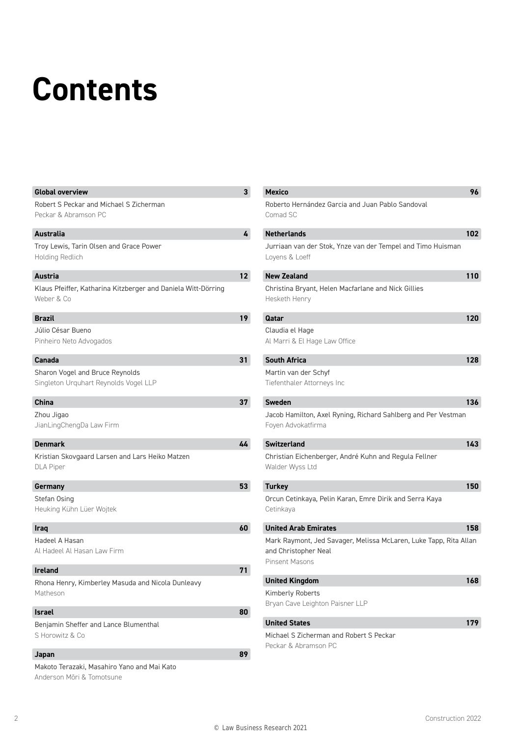## **Contents**

| <b>Global overview</b>                                                      | 3  | Mexico                                           |
|-----------------------------------------------------------------------------|----|--------------------------------------------------|
| Robert S Peckar and Michael S Zicherman                                     |    | Roberto Hernández                                |
| Peckar & Abramson PC                                                        |    | Comad SC                                         |
| Australia                                                                   | 4  | <b>Netherlands</b>                               |
| Troy Lewis, Tarin Olsen and Grace Power                                     |    | Jurriaan van der St                              |
| Holding Redlich                                                             |    | Loyens & Loeff                                   |
| <b>Austria</b>                                                              | 12 | <b>New Zealand</b>                               |
| Klaus Pfeiffer, Katharina Kitzberger and Daniela Witt-Dörring<br>Weber & Co |    | Christina Bryant, H<br>Hesketh Henry             |
| Brazil                                                                      | 19 | Qatar                                            |
| Júlio César Bueno<br>Pinheiro Neto Advogados                                |    | Claudia el Hage<br>Al Marri & El Hage            |
| Canada                                                                      | 31 | <b>South Africa</b>                              |
| Sharon Vogel and Bruce Reynolds<br>Singleton Urguhart Reynolds Vogel LLP    |    | Martin van der Sch<br>Tiefenthaler Attorn        |
| China                                                                       | 37 | <b>Sweden</b>                                    |
| Zhou Jigao<br>JianLingChengDa Law Firm                                      |    | Jacob Hamilton, Ax<br>Foyen Advokatfirma         |
| <b>Denmark</b>                                                              | 44 | <b>Switzerland</b>                               |
| Kristian Skovgaard Larsen and Lars Heiko Matzen<br><b>DLA Piper</b>         |    | <b>Christian Eichenber</b><br>Walder Wyss Ltd    |
| Germany                                                                     | 53 | <b>Turkey</b>                                    |
| Stefan Osing<br>Heuking Kühn Lüer Wojtek                                    |    | Orcun Cetinkaya, P<br>Cetinkaya                  |
| <b>Iraq</b>                                                                 | 60 | <b>United Arab Emira</b>                         |
| Hadeel A Hasan                                                              |    | Mark Raymont, Jec                                |
| Al Hadeel Al Hasan Law Firm                                                 |    | and Christopher Ne<br><b>Pinsent Masons</b>      |
| <b>Ireland</b>                                                              | 71 |                                                  |
| Rhona Henry, Kimberley Masuda and Nicola Dunleavy                           |    | <b>United Kingdom</b><br><b>Kimberly Roberts</b> |
| Matheson                                                                    |    | Bryan Cave Leightc                               |
| <b>Israel</b>                                                               | 80 |                                                  |
| Benjamin Sheffer and Lance Blumenthal                                       |    | <b>United States</b>                             |
| S Horowitz & Co                                                             |    | Michael S Zicherma<br>Peckar & Abramsor          |
| Japan                                                                       | 89 |                                                  |
| Makoto Terazaki, Masahiro Yano and Mai Kato<br>Anderson Möri & Tomotsune    |    |                                                  |

| <b>Mexico</b>                                                                                                      | 96  |
|--------------------------------------------------------------------------------------------------------------------|-----|
| Roberto Hernández Garcia and Juan Pablo Sandoval<br>Comad SC                                                       |     |
| <b>Netherlands</b>                                                                                                 | 102 |
| Jurriaan van der Stok, Ynze van der Tempel and Timo Huisman<br>Loyens & Loeff                                      |     |
| <b>New Zealand</b>                                                                                                 | 110 |
| Christina Bryant, Helen Macfarlane and Nick Gillies<br>Hesketh Henry                                               |     |
| Qatar                                                                                                              | 120 |
| Claudia el Hage<br>Al Marri & El Hage Law Office                                                                   |     |
| <b>South Africa</b>                                                                                                | 128 |
| Martin van der Schyf<br>Tiefenthaler Attorneys Inc                                                                 |     |
| <b>Sweden</b>                                                                                                      | 136 |
| Jacob Hamilton, Axel Ryning, Richard Sahlberg and Per Vestman<br>Foyen Advokatfirma                                |     |
| <b>Switzerland</b>                                                                                                 | 143 |
| Christian Eichenberger, André Kuhn and Regula Fellner<br>Walder Wyss Ltd                                           |     |
| <b>Turkey</b>                                                                                                      | 150 |
| Orcun Cetinkaya, Pelin Karan, Emre Dirik and Serra Kaya<br>Cetinkaya                                               |     |
| <b>United Arab Emirates</b>                                                                                        | 158 |
| Mark Raymont, Jed Savager, Melissa McLaren, Luke Tapp, Rita Allan<br>and Christopher Neal<br><b>Pinsent Masons</b> |     |
| <b>United Kingdom</b>                                                                                              | 168 |
| <b>Kimberly Roberts</b><br>Bryan Cave Leighton Paisner LLP                                                         |     |
| <b>United States</b>                                                                                               | 179 |
|                                                                                                                    |     |

an and Robert S Peckar  $nPC$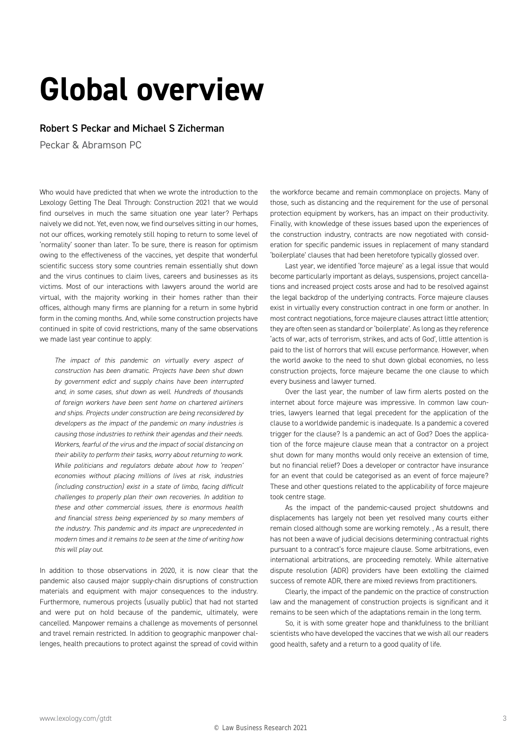### **Global overview**

#### Robert S Peckar and Michael S Zicherman

Peckar & Abramson PC

Who would have predicted that when we wrote the introduction to the Lexology Getting The Deal Through: Construction 2021 that we would find ourselves in much the same situation one year later? Perhaps naively we did not. Yet, even now, we find ourselves sitting in our homes, not our offices, working remotely still hoping to return to some level of 'normality' sooner than later. To be sure, there is reason for optimism owing to the effectiveness of the vaccines, yet despite that wonderful scientific success story some countries remain essentially shut down and the virus continues to claim lives, careers and businesses as its victims. Most of our interactions with lawyers around the world are virtual, with the majority working in their homes rather than their offices, although many firms are planning for a return in some hybrid form in the coming months. And, while some construction projects have continued in spite of covid restrictions, many of the same observations we made last year continue to apply:

*The impact of this pandemic on virtually every aspect of construction has been dramatic. Projects have been shut down by government edict and supply chains have been interrupted and, in some cases, shut down as well. Hundreds of thousands of foreign workers have been sent home on chartered airliners and ships. Projects under construction are being reconsidered by developers as the impact of the pandemic on many industries is causing those industries to rethink their agendas and their needs. Workers, fearful of the virus and the impact of social distancing on their ability to perform their tasks, worry about returning to work. While politicians and regulators debate about how to 'reopen' economies without placing millions of lives at risk, industries (including construction) exist in a state of limbo, facing difficult challenges to properly plan their own recoveries. In addition to these and other commercial issues, there is enormous health and financial stress being experienced by so many members of the industry. This pandemic and its impact are unprecedented in modern times and it remains to be seen at the time of writing how this will play out.*

In addition to those observations in 2020, it is now clear that the pandemic also caused major supply-chain disruptions of construction materials and equipment with major consequences to the industry. Furthermore, numerous projects (usually public) that had not started and were put on hold because of the pandemic, ultimately, were cancelled. Manpower remains a challenge as movements of personnel and travel remain restricted. In addition to geographic manpower challenges, health precautions to protect against the spread of covid within the workforce became and remain commonplace on projects. Many of those, such as distancing and the requirement for the use of personal protection equipment by workers, has an impact on their productivity. Finally, with knowledge of these issues based upon the experiences of the construction industry, contracts are now negotiated with consideration for specific pandemic issues in replacement of many standard 'boilerplate' clauses that had been heretofore typically glossed over.

Last year, we identified 'force majeure' as a legal issue that would become particularly important as delays, suspensions, project cancellations and increased project costs arose and had to be resolved against the legal backdrop of the underlying contracts. Force majeure clauses exist in virtually every construction contract in one form or another. In most contract negotiations, force majeure clauses attract little attention; they are often seen as standard or 'boilerplate'. As long as they reference 'acts of war, acts of terrorism, strikes, and acts of God', little attention is paid to the list of horrors that will excuse performance. However, when the world awoke to the need to shut down global economies, no less construction projects, force majeure became the one clause to which every business and lawyer turned.

Over the last year, the number of law firm alerts posted on the internet about force majeure was impressive. In common law countries, lawyers learned that legal precedent for the application of the clause to a worldwide pandemic is inadequate. Is a pandemic a covered trigger for the clause? Is a pandemic an act of God? Does the application of the force majeure clause mean that a contractor on a project shut down for many months would only receive an extension of time, but no financial relief? Does a developer or contractor have insurance for an event that could be categorised as an event of force majeure? These and other questions related to the applicability of force majeure took centre stage.

As the impact of the pandemic-caused project shutdowns and displacements has largely not been yet resolved many courts either remain closed although some are working remotely. , As a result, there has not been a wave of judicial decisions determining contractual rights pursuant to a contract's force majeure clause. Some arbitrations, even international arbitrations, are proceeding remotely. While alternative dispute resolution (ADR) providers have been extolling the claimed success of remote ADR, there are mixed reviews from practitioners.

Clearly, the impact of the pandemic on the practice of construction law and the management of construction projects is significant and it remains to be seen which of the adaptations remain in the long term.

So, it is with some greater hope and thankfulness to the brilliant scientists who have developed the vaccines that we wish all our readers good health, safety and a return to a good quality of life.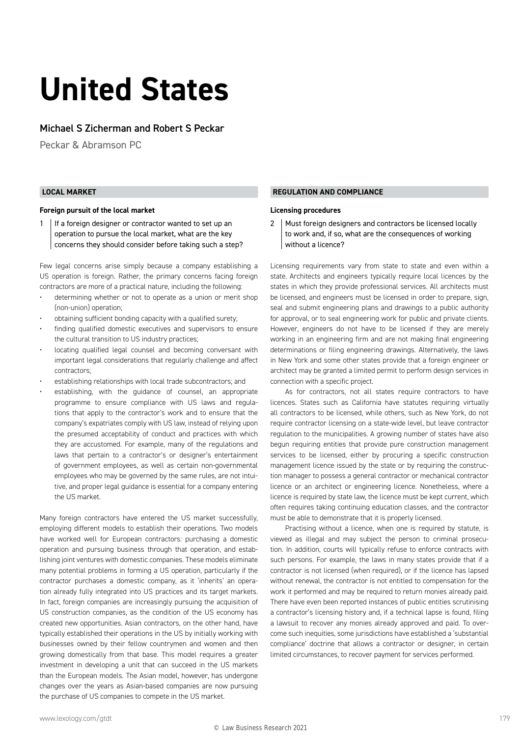### **United States**

#### Michael S Zicherman and Robert S Peckar

Peckar & Abramson PC

#### **LOCAL MARKET**

#### **Foreign pursuit of the local market**

1 | If a foreign designer or contractor wanted to set up an operation to pursue the local market, what are the key concerns they should consider before taking such a step?

Few legal concerns arise simply because a company establishing a US operation is foreign. Rather, the primary concerns facing foreign contractors are more of a practical nature, including the following:

- determining whether or not to operate as a union or merit shop (non-union) operation;
- obtaining sufficient bonding capacity with a qualified surety;
- finding qualified domestic executives and supervisors to ensure the cultural transition to US industry practices;
- locating qualified legal counsel and becoming conversant with important legal considerations that regularly challenge and affect contractors;
- establishing relationships with local trade subcontractors; and
- establishing, with the guidance of counsel, an appropriate programme to ensure compliance with US laws and regulations that apply to the contractor's work and to ensure that the company's expatriates comply with US law, instead of relying upon the presumed acceptability of conduct and practices with which they are accustomed. For example, many of the regulations and laws that pertain to a contractor's or designer's entertainment of government employees, as well as certain non-governmental employees who may be governed by the same rules, are not intuitive, and proper legal guidance is essential for a company entering the US market.

Many foreign contractors have entered the US market successfully, employing different models to establish their operations. Two models have worked well for European contractors: purchasing a domestic operation and pursuing business through that operation, and establishing joint ventures with domestic companies. These models eliminate many potential problems in forming a US operation, particularly if the contractor purchases a domestic company, as it 'inherits' an operation already fully integrated into US practices and its target markets. In fact, foreign companies are increasingly pursuing the acquisition of US construction companies, as the condition of the US economy has created new opportunities. Asian contractors, on the other hand, have typically established their operations in the US by initially working with businesses owned by their fellow countrymen and women and then growing domestically from that base. This model requires a greater investment in developing a unit that can succeed in the US markets than the European models. The Asian model, however, has undergone changes over the years as Asian-based companies are now pursuing the purchase of US companies to compete in the US market.

#### **REGULATION AND COMPLIANCE**

#### **Licensing procedures**

2 | Must foreign designers and contractors be licensed locally to work and, if so, what are the consequences of working without a licence?

Licensing requirements vary from state to state and even within a state. Architects and engineers typically require local licences by the states in which they provide professional services. All architects must be licensed, and engineers must be licensed in order to prepare, sign, seal and submit engineering plans and drawings to a public authority for approval, or to seal engineering work for public and private clients. However, engineers do not have to be licensed if they are merely working in an engineering firm and are not making final engineering determinations or filing engineering drawings. Alternatively, the laws in New York and some other states provide that a foreign engineer or architect may be granted a limited permit to perform design services in connection with a specific project.

As for contractors, not all states require contractors to have licences. States such as California have statutes requiring virtually all contractors to be licensed, while others, such as New York, do not require contractor licensing on a state-wide level, but leave contractor regulation to the municipalities. A growing number of states have also begun requiring entities that provide pure construction management services to be licensed, either by procuring a specific construction management licence issued by the state or by requiring the construction manager to possess a general contractor or mechanical contractor licence or an architect or engineering licence. Nonetheless, where a licence is required by state law, the licence must be kept current, which often requires taking continuing education classes, and the contractor must be able to demonstrate that it is properly licensed.

Practising without a licence, when one is required by statute, is viewed as illegal and may subject the person to criminal prosecution. In addition, courts will typically refuse to enforce contracts with such persons. For example, the laws in many states provide that if a contractor is not licensed (when required), or if the licence has lapsed without renewal, the contractor is not entitled to compensation for the work it performed and may be required to return monies already paid. There have even been reported instances of public entities scrutinising a contractor's licensing history and, if a technical lapse is found, filing a lawsuit to recover any monies already approved and paid. To overcome such inequities, some jurisdictions have established a 'substantial compliance' doctrine that allows a contractor or designer, in certain limited circumstances, to recover payment for services performed.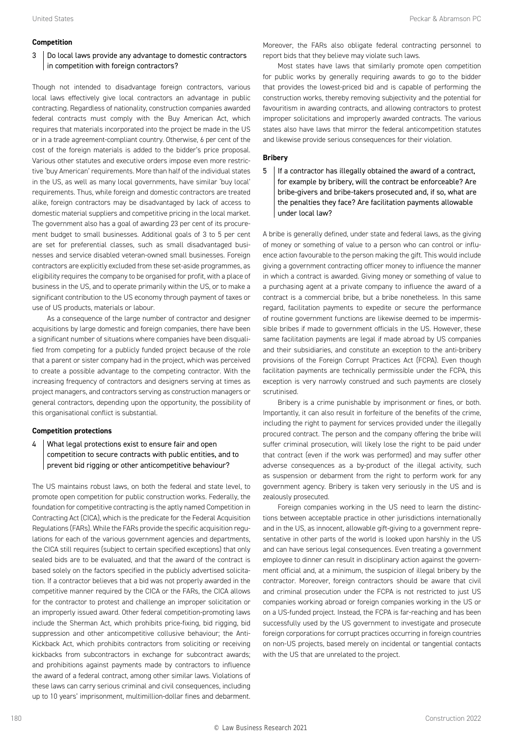#### **Competition**

#### 3 Do local laws provide any advantage to domestic contractors in competition with foreign contractors?

Though not intended to disadvantage foreign contractors, various local laws effectively give local contractors an advantage in public contracting. Regardless of nationality, construction companies awarded federal contracts must comply with the Buy American Act, which requires that materials incorporated into the project be made in the US or in a trade agreement-compliant country. Otherwise, 6 per cent of the cost of the foreign materials is added to the bidder's price proposal. Various other statutes and executive orders impose even more restrictive 'buy American' requirements. More than half of the individual states in the US, as well as many local governments, have similar 'buy local' requirements. Thus, while foreign and domestic contractors are treated alike, foreign contractors may be disadvantaged by lack of access to domestic material suppliers and competitive pricing in the local market. The government also has a goal of awarding 23 per cent of its procurement budget to small businesses. Additional goals of 3 to 5 per cent are set for preferential classes, such as small disadvantaged businesses and service disabled veteran-owned small businesses. Foreign contractors are explicitly excluded from these set-aside programmes, as eligibility requires the company to be organised for profit, with a place of business in the US, and to operate primarily within the US, or to make a significant contribution to the US economy through payment of taxes or use of US products, materials or labour.

As a consequence of the large number of contractor and designer acquisitions by large domestic and foreign companies, there have been a significant number of situations where companies have been disqualified from competing for a publicly funded project because of the role that a parent or sister company had in the project, which was perceived to create a possible advantage to the competing contractor. With the increasing frequency of contractors and designers serving at times as project managers, and contractors serving as construction managers or general contractors, depending upon the opportunity, the possibility of this organisational conflict is substantial.

#### **Competition protections**

#### 4 What legal protections exist to ensure fair and open competition to secure contracts with public entities, and to prevent bid rigging or other anticompetitive behaviour?

The US maintains robust laws, on both the federal and state level, to promote open competition for public construction works. Federally, the foundation for competitive contracting is the aptly named Competition in Contracting Act (CICA), which is the predicate for the Federal Acquisition Regulations (FARs). While the FARs provide the specific acquisition regulations for each of the various government agencies and departments, the CICA still requires (subject to certain specified exceptions) that only sealed bids are to be evaluated, and that the award of the contract is based solely on the factors specified in the publicly advertised solicitation. If a contractor believes that a bid was not properly awarded in the competitive manner required by the CICA or the FARs, the CICA allows for the contractor to protest and challenge an improper solicitation or an improperly issued award. Other federal competition-promoting laws include the Sherman Act, which prohibits price-fixing, bid rigging, bid suppression and other anticompetitive collusive behaviour; the Anti-Kickback Act, which prohibits contractors from soliciting or receiving kickbacks from subcontractors in exchange for subcontract awards; and prohibitions against payments made by contractors to influence the award of a federal contract, among other similar laws. Violations of these laws can carry serious criminal and civil consequences, including up to 10 years' imprisonment, multimillion-dollar fines and debarment.

Moreover, the FARs also obligate federal contracting personnel to report bids that they believe may violate such laws.

Most states have laws that similarly promote open competition for public works by generally requiring awards to go to the bidder that provides the lowest-priced bid and is capable of performing the construction works, thereby removing subjectivity and the potential for favouritism in awarding contracts, and allowing contractors to protest improper solicitations and improperly awarded contracts. The various states also have laws that mirror the federal anticompetition statutes and likewise provide serious consequences for their violation.

#### **Bribery**

 $5$  | If a contractor has illegally obtained the award of a contract, for example by bribery, will the contract be enforceable? Are bribe-givers and bribe-takers prosecuted and, if so, what are the penalties they face? Are facilitation payments allowable under local law?

A bribe is generally defined, under state and federal laws, as the giving of money or something of value to a person who can control or influence action favourable to the person making the gift. This would include giving a government contracting officer money to influence the manner in which a contract is awarded. Giving money or something of value to a purchasing agent at a private company to influence the award of a contract is a commercial bribe, but a bribe nonetheless. In this same regard, facilitation payments to expedite or secure the performance of routine government functions are likewise deemed to be impermissible bribes if made to government officials in the US. However, these same facilitation payments are legal if made abroad by US companies and their subsidiaries, and constitute an exception to the anti-bribery provisions of the Foreign Corrupt Practices Act (FCPA). Even though facilitation payments are technically permissible under the FCPA, this exception is very narrowly construed and such payments are closely scrutinised.

Bribery is a crime punishable by imprisonment or fines, or both. Importantly, it can also result in forfeiture of the benefits of the crime, including the right to payment for services provided under the illegally procured contract. The person and the company offering the bribe will suffer criminal prosecution, will likely lose the right to be paid under that contract (even if the work was performed) and may suffer other adverse consequences as a by-product of the illegal activity, such as suspension or debarment from the right to perform work for any government agency. Bribery is taken very seriously in the US and is zealously prosecuted.

Foreign companies working in the US need to learn the distinctions between acceptable practice in other jurisdictions internationally and in the US, as innocent, allowable gift-giving to a government representative in other parts of the world is looked upon harshly in the US and can have serious legal consequences. Even treating a government employee to dinner can result in disciplinary action against the government official and, at a minimum, the suspicion of illegal bribery by the contractor. Moreover, foreign contractors should be aware that civil and criminal prosecution under the FCPA is not restricted to just US companies working abroad or foreign companies working in the US or on a US-funded project. Instead, the FCPA is far-reaching and has been successfully used by the US government to investigate and prosecute foreign corporations for corrupt practices occurring in foreign countries on non-US projects, based merely on incidental or tangential contacts with the US that are unrelated to the project.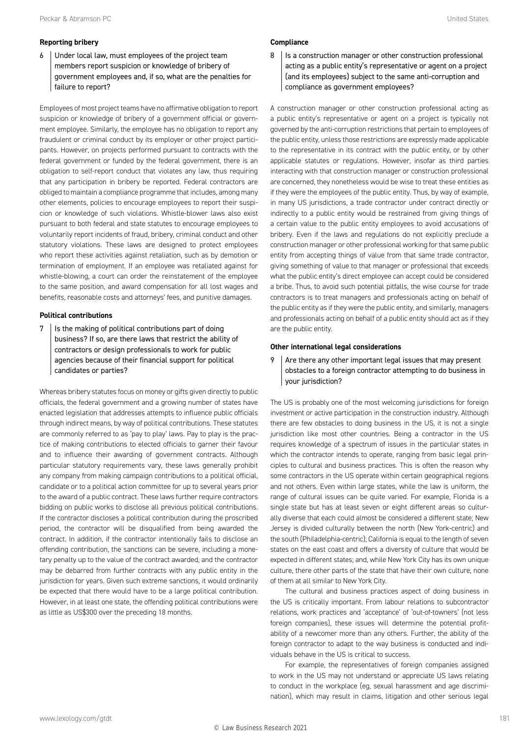#### **Reporting bribery**

6 Under local law, must employees of the project team members report suspicion or knowledge of bribery of government employees and, if so, what are the penalties for failure to report?

Employees of most project teams have no affirmative obligation to report suspicion or knowledge of bribery of a government official or government employee. Similarly, the employee has no obligation to report any fraudulent or criminal conduct by its employer or other project participants. However, on projects performed pursuant to contracts with the federal government or funded by the federal government, there is an obligation to self-report conduct that violates any law, thus requiring that any participation in bribery be reported. Federal contractors are obliged to maintain a compliance programme that includes, among many other elements, policies to encourage employees to report their suspicion or knowledge of such violations. Whistle-blower laws also exist pursuant to both federal and state statutes to encourage employees to voluntarily report incidents of fraud, bribery, criminal conduct and other statutory violations. These laws are designed to protect employees who report these activities against retaliation, such as by demotion or termination of employment. If an employee was retaliated against for whistle-blowing, a court can order the reinstatement of the employee to the same position, and award compensation for all lost wages and benefits, reasonable costs and attorneys' fees, and punitive damages.

#### **Political contributions**

 $7$  | Is the making of political contributions part of doing business? If so, are there laws that restrict the ability of contractors or design professionals to work for public agencies because of their financial support for political candidates or parties?

Whereas bribery statutes focus on money or gifts given directly to public officials, the federal government and a growing number of states have enacted legislation that addresses attempts to influence public officials through indirect means, by way of political contributions. These statutes are commonly referred to as 'pay to play' laws. Pay to play is the practice of making contributions to elected officials to garner their favour and to influence their awarding of government contracts. Although particular statutory requirements vary, these laws generally prohibit any company from making campaign contributions to a political official, candidate or to a political action committee for up to several years prior to the award of a public contract. These laws further require contractors bidding on public works to disclose all previous political contributions. If the contractor discloses a political contribution during the proscribed period, the contractor will be disqualified from being awarded the contract. In addition, if the contractor intentionally fails to disclose an offending contribution, the sanctions can be severe, including a monetary penalty up to the value of the contract awarded, and the contractor may be debarred from further contracts with any public entity in the jurisdiction for years. Given such extreme sanctions, it would ordinarily be expected that there would have to be a large political contribution. However, in at least one state, the offending political contributions were as little as US\$300 over the preceding 18 months.

#### **Compliance**

8 | Is a construction manager or other construction professional acting as a public entity's representative or agent on a project (and its employees) subject to the same anti-corruption and compliance as government employees?

A construction manager or other construction professional acting as a public entity's representative or agent on a project is typically not governed by the anti-corruption restrictions that pertain to employees of the public entity, unless those restrictions are expressly made applicable to the representative in its contract with the public entity, or by other applicable statutes or regulations. However, insofar as third parties interacting with that construction manager or construction professional are concerned, they nonetheless would be wise to treat these entities as if they were the employees of the public entity. Thus, by way of example, in many US jurisdictions, a trade contractor under contract directly or indirectly to a public entity would be restrained from giving things of a certain value to the public entity employees to avoid accusations of bribery. Even if the laws and regulations do not explicitly preclude a construction manager or other professional working for that same public entity from accepting things of value from that same trade contractor, giving something of value to that manager or professional that exceeds what the public entity's direct employee can accept could be considered a bribe. Thus, to avoid such potential pitfalls, the wise course for trade contractors is to treat managers and professionals acting on behalf of the public entity as if they were the public entity, and similarly, managers and professionals acting on behalf of a public entity should act as if they are the public entity.

#### **Other international legal considerations**

 $9$  Are there any other important legal issues that may present obstacles to a foreign contractor attempting to do business in your jurisdiction?

The US is probably one of the most welcoming jurisdictions for foreign investment or active participation in the construction industry. Although there are few obstacles to doing business in the US, it is not a single jurisdiction like most other countries. Being a contractor in the US requires knowledge of a spectrum of issues in the particular states in which the contractor intends to operate, ranging from basic legal principles to cultural and business practices. This is often the reason why some contractors in the US operate within certain geographical regions and not others. Even within large states, while the law is uniform, the range of cultural issues can be quite varied. For example, Florida is a single state but has at least seven or eight different areas so culturally diverse that each could almost be considered a different state; New Jersey is divided culturally between the north (New York-centric) and the south (Philadelphia-centric); California is equal to the length of seven states on the east coast and offers a diversity of culture that would be expected in different states; and, while New York City has its own unique culture, there other parts of the state that have their own culture, none of them at all similar to New York City.

The cultural and business practices aspect of doing business in the US is critically important. From labour relations to subcontractor relations, work practices and 'acceptance' of 'out-of-towners' (not less foreign companies), these issues will determine the potential profitability of a newcomer more than any others. Further, the ability of the foreign contractor to adapt to the way business is conducted and individuals behave in the US is critical to success.

For example, the representatives of foreign companies assigned to work in the US may not understand or appreciate US laws relating to conduct in the workplace (eg, sexual harassment and age discrimination), which may result in claims, litigation and other serious legal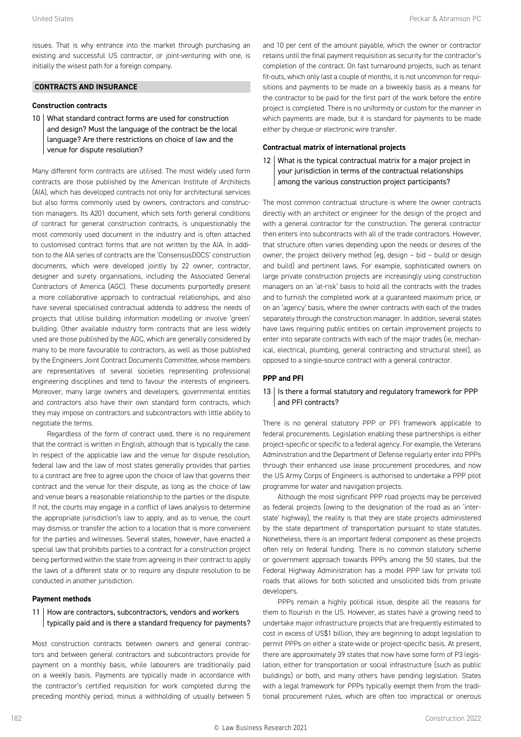issues. That is why entrance into the market through purchasing an existing and successful US contractor, or joint-venturing with one, is initially the wisest path for a foreign company.

#### **CONTRACTS AND INSURANCE**

#### **Construction contracts**

10 What standard contract forms are used for construction and design? Must the language of the contract be the local language? Are there restrictions on choice of law and the venue for dispute resolution?

Many different form contracts are utilised. The most widely used form contracts are those published by the American Institute of Architects (AIA), which has developed contracts not only for architectural services but also forms commonly used by owners, contractors and construction managers. Its A201 document, which sets forth general conditions of contract for general construction contracts, is unquestionably the most commonly used document in the industry and is often attached to customised contract forms that are not written by the AIA. In addition to the AIA series of contracts are the 'ConsensusDOCS' construction documents, which were developed jointly by 22 owner, contractor, designer and surety organisations, including the Associated General Contractors of America (AGC). These documents purportedly present a more collaborative approach to contractual relationships, and also have several specialised contractual addenda to address the needs of projects that utilise building information modelling or involve 'green' building. Other available industry form contracts that are less widely used are those published by the AGC, which are generally considered by many to be more favourable to contractors, as well as those published by the Engineers Joint Contract Documents Committee, whose members are representatives of several societies representing professional engineering disciplines and tend to favour the interests of engineers. Moreover, many large owners and developers, governmental entities and contractors also have their own standard form contracts, which they may impose on contractors and subcontractors with little ability to negotiate the terms.

Regardless of the form of contract used, there is no requirement that the contract is written in English, although that is typically the case. In respect of the applicable law and the venue for dispute resolution, federal law and the law of most states generally provides that parties to a contract are free to agree upon the choice of law that governs their contract and the venue for their dispute, as long as the choice of law and venue bears a reasonable relationship to the parties or the dispute. If not, the courts may engage in a conflict of laws analysis to determine the appropriate jurisdiction's law to apply, and as to venue, the court may dismiss or transfer the action to a location that is more convenient for the parties and witnesses. Several states, however, have enacted a special law that prohibits parties to a contract for a construction project being performed within the state from agreeing in their contract to apply the laws of a different state or to require any dispute resolution to be conducted in another jurisdiction.

#### **Payment methods**

#### 11 | How are contractors, subcontractors, vendors and workers typically paid and is there a standard frequency for payments?

Most construction contracts between owners and general contractors and between general contractors and subcontractors provide for payment on a monthly basis, while labourers are traditionally paid on a weekly basis. Payments are typically made in accordance with the contractor's certified requisition for work completed during the preceding monthly period, minus a withholding of usually between 5 and 10 per cent of the amount payable, which the owner or contractor retains until the final payment requisition as security for the contractor's completion of the contract. On fast turnaround projects, such as tenant fit-outs, which only last a couple of months, it is not uncommon for requisitions and payments to be made on a biweekly basis as a means for the contractor to be paid for the first part of the work before the entire project is completed. There is no uniformity or custom for the manner in which payments are made, but it is standard for payments to be made either by cheque or electronic wire transfer.

#### **Contractual matrix of international projects**

12 What is the typical contractual matrix for a major project in your jurisdiction in terms of the contractual relationships among the various construction project participants?

The most common contractual structure is where the owner contracts directly with an architect or engineer for the design of the project and with a general contractor for the construction. The general contractor then enters into subcontracts with all of the trade contractors. However, that structure often varies depending upon the needs or desires of the owner, the project delivery method (eg, design – bid – build or design and build) and pertinent laws. For example, sophisticated owners on large private construction projects are increasingly using construction managers on an 'at-risk' basis to hold all the contracts with the trades and to furnish the completed work at a guaranteed maximum price, or on an 'agency' basis, where the owner contracts with each of the trades separately through the construction manager. In addition, several states have laws requiring public entities on certain improvement projects to enter into separate contracts with each of the major trades (ie, mechanical, electrical, plumbing, general contracting and structural steel), as opposed to a single-source contract with a general contractor.

#### **PPP and PFI**

#### 13 | Is there a formal statutory and regulatory framework for PPP and PFI contracts?

There is no general statutory PPP or PFI framework applicable to federal procurements. Legislation enabling these partnerships is either project-specific or specific to a federal agency. For example, the Veterans Administration and the Department of Defense regularly enter into PPPs through their enhanced use lease procurement procedures, and now the US Army Corps of Engineers is authorised to undertake a PPP pilot programme for water and navigation projects.

Although the most significant PPP road projects may be perceived as federal projects (owing to the designation of the road as an 'interstate' highway), the reality is that they are state projects administered by the state department of transportation pursuant to state statutes. Nonetheless, there is an important federal component as these projects often rely on federal funding. There is no common statutory scheme or government approach towards PPPs among the 50 states, but the Federal Highway Administration has a model PPP law for private toll roads that allows for both solicited and unsolicited bids from private developers.

PPPs remain a highly political issue, despite all the reasons for them to flourish in the US. However, as states have a growing need to undertake major infrastructure projects that are frequently estimated to cost in excess of US\$1 billion, they are beginning to adopt legislation to permit PPPs on either a state-wide or project-specific basis. At present, there are approximately 39 states that now have some form of P3 legislation, either for transportation or social infrastructure (such as public buildings) or both, and many others have pending legislation. States with a legal framework for PPPs typically exempt them from the traditional procurement rules, which are often too impractical or onerous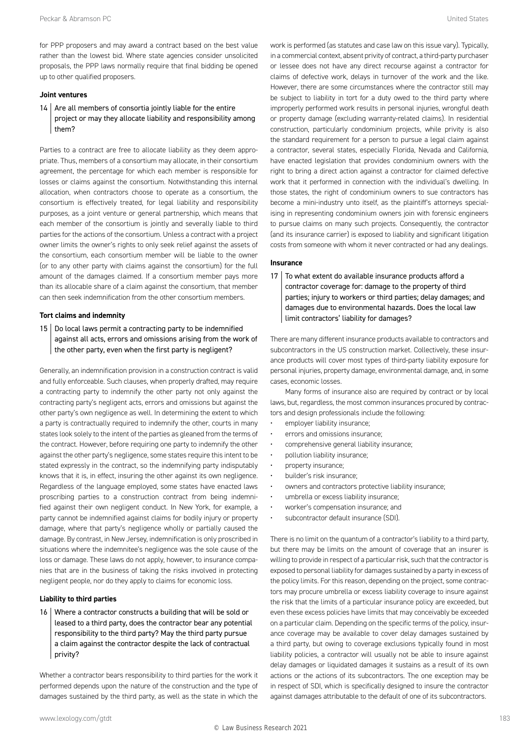for PPP proposers and may award a contract based on the best value rather than the lowest bid. Where state agencies consider unsolicited proposals, the PPP laws normally require that final bidding be opened up to other qualified proposers.

#### **Joint ventures**

 $14$  Are all members of consortia jointly liable for the entire project or may they allocate liability and responsibility among them?

Parties to a contract are free to allocate liability as they deem appropriate. Thus, members of a consortium may allocate, in their consortium agreement, the percentage for which each member is responsible for losses or claims against the consortium. Notwithstanding this internal allocation, when contractors choose to operate as a consortium, the consortium is effectively treated, for legal liability and responsibility purposes, as a joint venture or general partnership, which means that each member of the consortium is jointly and severally liable to third parties for the actions of the consortium. Unless a contract with a project owner limits the owner's rights to only seek relief against the assets of the consortium, each consortium member will be liable to the owner (or to any other party with claims against the consortium) for the full amount of the damages claimed. If a consortium member pays more than its allocable share of a claim against the consortium, that member can then seek indemnification from the other consortium members.

#### **Tort claims and indemnity**

 $15$  Do local laws permit a contracting party to be indemnified against all acts, errors and omissions arising from the work of the other party, even when the first party is negligent?

Generally, an indemnification provision in a construction contract is valid and fully enforceable. Such clauses, when properly drafted, may require a contracting party to indemnify the other party not only against the contracting party's negligent acts, errors and omissions but against the other party's own negligence as well. In determining the extent to which a party is contractually required to indemnify the other, courts in many states look solely to the intent of the parties as gleaned from the terms of the contract. However, before requiring one party to indemnify the other against the other party's negligence, some states require this intent to be stated expressly in the contract, so the indemnifying party indisputably knows that it is, in effect, insuring the other against its own negligence. Regardless of the language employed, some states have enacted laws proscribing parties to a construction contract from being indemnified against their own negligent conduct. In New York, for example, a party cannot be indemnified against claims for bodily injury or property damage, where that party's negligence wholly or partially caused the damage. By contrast, in New Jersey, indemnification is only proscribed in situations where the indemnitee's negligence was the sole cause of the loss or damage. These laws do not apply, however, to insurance companies that are in the business of taking the risks involved in protecting negligent people, nor do they apply to claims for economic loss.

#### **Liability to third parties**

16 Where a contractor constructs a building that will be sold or leased to a third party, does the contractor bear any potential responsibility to the third party? May the third party pursue a claim against the contractor despite the lack of contractual privity?

Whether a contractor bears responsibility to third parties for the work it performed depends upon the nature of the construction and the type of damages sustained by the third party, as well as the state in which the work is performed (as statutes and case law on this issue vary). Typically, in a commercial context, absent privity of contract, a third-party purchaser or lessee does not have any direct recourse against a contractor for claims of defective work, delays in turnover of the work and the like. However, there are some circumstances where the contractor still may be subject to liability in tort for a duty owed to the third party where improperly performed work results in personal injuries, wrongful death or property damage (excluding warranty-related claims). In residential construction, particularly condominium projects, while privity is also the standard requirement for a person to pursue a legal claim against a contractor, several states, especially Florida, Nevada and California, have enacted legislation that provides condominium owners with the right to bring a direct action against a contractor for claimed defective work that it performed in connection with the individual's dwelling. In those states, the right of condominium owners to sue contractors has become a mini-industry unto itself, as the plaintiff's attorneys specialising in representing condominium owners join with forensic engineers to pursue claims on many such projects. Consequently, the contractor (and its insurance carrier) is exposed to liability and significant litigation costs from someone with whom it never contracted or had any dealings.

#### **Insurance**

17  $\vert$  To what extent do available insurance products afford a contractor coverage for: damage to the property of third parties; injury to workers or third parties; delay damages; and damages due to environmental hazards. Does the local law limit contractors' liability for damages?

There are many different insurance products available to contractors and subcontractors in the US construction market. Collectively, these insurance products will cover most types of third-party liability exposure for personal injuries, property damage, environmental damage, and, in some cases, economic losses.

Many forms of insurance also are required by contract or by local laws, but, regardless, the most common insurances procured by contractors and design professionals include the following:

- employer liability insurance;
- errors and omissions insurance;
- comprehensive general liability insurance;
- pollution liability insurance;
- property insurance;
- builder's risk insurance;
- owners and contractors protective liability insurance;
- umbrella or excess liability insurance;
- worker's compensation insurance; and
- subcontractor default insurance (SDI).

There is no limit on the quantum of a contractor's liability to a third party, but there may be limits on the amount of coverage that an insurer is willing to provide in respect of a particular risk, such that the contractor is exposed to personal liability for damages sustained by a party in excess of the policy limits. For this reason, depending on the project, some contractors may procure umbrella or excess liability coverage to insure against the risk that the limits of a particular insurance policy are exceeded, but even these excess policies have limits that may conceivably be exceeded on a particular claim. Depending on the specific terms of the policy, insurance coverage may be available to cover delay damages sustained by a third party, but owing to coverage exclusions typically found in most liability policies, a contractor will usually not be able to insure against delay damages or liquidated damages it sustains as a result of its own actions or the actions of its subcontractors. The one exception may be in respect of SDI, which is specifically designed to insure the contractor against damages attributable to the default of one of its subcontractors.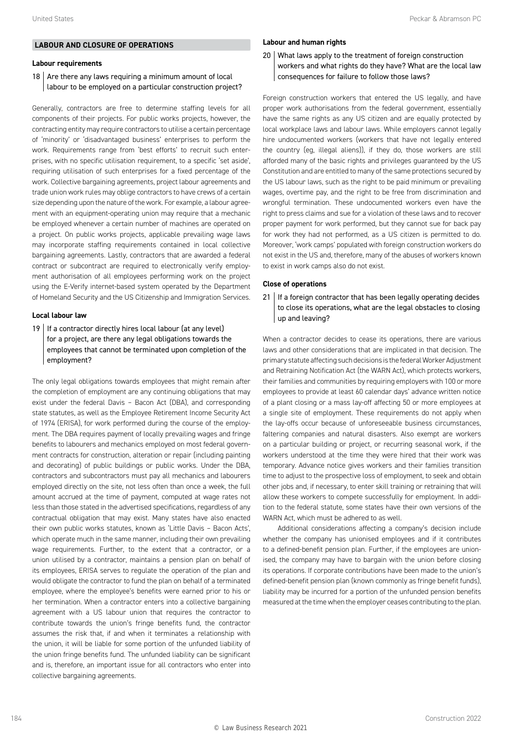#### **LABOUR AND CLOSURE OF OPERATIONS**

#### **Labour requirements**

#### 18  $\vert$  Are there any laws requiring a minimum amount of local labour to be employed on a particular construction project?

Generally, contractors are free to determine staffing levels for all components of their projects. For public works projects, however, the contracting entity may require contractors to utilise a certain percentage of 'minority' or 'disadvantaged business' enterprises to perform the work. Requirements range from 'best efforts' to recruit such enterprises, with no specific utilisation requirement, to a specific 'set aside', requiring utilisation of such enterprises for a fixed percentage of the work. Collective bargaining agreements, project labour agreements and trade union work rules may oblige contractors to have crews of a certain size depending upon the nature of the work. For example, a labour agreement with an equipment-operating union may require that a mechanic be employed whenever a certain number of machines are operated on a project. On public works projects, applicable prevailing wage laws may incorporate staffing requirements contained in local collective bargaining agreements. Lastly, contractors that are awarded a federal contract or subcontract are required to electronically verify employment authorisation of all employees performing work on the project using the E-Verify internet-based system operated by the Department of Homeland Security and the US Citizenship and Immigration Services.

#### **Local labour law**

19 | If a contractor directly hires local labour (at any level) for a project, are there any legal obligations towards the employees that cannot be terminated upon completion of the employment?

The only legal obligations towards employees that might remain after the completion of employment are any continuing obligations that may exist under the federal Davis – Bacon Act (DBA), and corresponding state statutes, as well as the Employee Retirement Income Security Act of 1974 (ERISA), for work performed during the course of the employment. The DBA requires payment of locally prevailing wages and fringe benefits to labourers and mechanics employed on most federal government contracts for construction, alteration or repair (including painting and decorating) of public buildings or public works. Under the DBA, contractors and subcontractors must pay all mechanics and labourers employed directly on the site, not less often than once a week, the full amount accrued at the time of payment, computed at wage rates not less than those stated in the advertised specifications, regardless of any contractual obligation that may exist. Many states have also enacted their own public works statutes, known as 'Little Davis – Bacon Acts', which operate much in the same manner, including their own prevailing wage requirements. Further, to the extent that a contractor, or a union utilised by a contractor, maintains a pension plan on behalf of its employees, ERISA serves to regulate the operation of the plan and would obligate the contractor to fund the plan on behalf of a terminated employee, where the employee's benefits were earned prior to his or her termination. When a contractor enters into a collective bargaining agreement with a US labour union that requires the contractor to contribute towards the union's fringe benefits fund, the contractor assumes the risk that, if and when it terminates a relationship with the union, it will be liable for some portion of the unfunded liability of the union fringe benefits fund. The unfunded liability can be significant and is, therefore, an important issue for all contractors who enter into collective bargaining agreements.

#### **Labour and human rights**

#### 20 What laws apply to the treatment of foreign construction workers and what rights do they have? What are the local law consequences for failure to follow those laws?

Foreign construction workers that entered the US legally, and have proper work authorisations from the federal government, essentially have the same rights as any US citizen and are equally protected by local workplace laws and labour laws. While employers cannot legally hire undocumented workers (workers that have not legally entered the country (eg, illegal aliens)), if they do, those workers are still afforded many of the basic rights and privileges guaranteed by the US Constitution and are entitled to many of the same protections secured by the US labour laws, such as the right to be paid minimum or prevailing wages, overtime pay, and the right to be free from discrimination and wrongful termination. These undocumented workers even have the right to press claims and sue for a violation of these laws and to recover proper payment for work performed, but they cannot sue for back pay for work they had not performed, as a US citizen is permitted to do. Moreover, 'work camps' populated with foreign construction workers do not exist in the US and, therefore, many of the abuses of workers known to exist in work camps also do not exist.

#### **Close of operations**

 $21$  If a foreign contractor that has been legally operating decides to close its operations, what are the legal obstacles to closing up and leaving?

When a contractor decides to cease its operations, there are various laws and other considerations that are implicated in that decision. The primary statute affecting such decisions is the federal Worker Adjustment and Retraining Notification Act (the WARN Act), which protects workers, their families and communities by requiring employers with 100 or more employees to provide at least 60 calendar days' advance written notice of a plant closing or a mass lay-off affecting 50 or more employees at a single site of employment. These requirements do not apply when the lay-offs occur because of unforeseeable business circumstances, faltering companies and natural disasters. Also exempt are workers on a particular building or project, or recurring seasonal work, if the workers understood at the time they were hired that their work was temporary. Advance notice gives workers and their families transition time to adjust to the prospective loss of employment, to seek and obtain other jobs and, if necessary, to enter skill training or retraining that will allow these workers to compete successfully for employment. In addition to the federal statute, some states have their own versions of the WARN Act, which must be adhered to as well.

Additional considerations affecting a company's decision include whether the company has unionised employees and if it contributes to a defined-benefit pension plan. Further, if the employees are unionised, the company may have to bargain with the union before closing its operations. If corporate contributions have been made to the union's defined-benefit pension plan (known commonly as fringe benefit funds), liability may be incurred for a portion of the unfunded pension benefits measured at the time when the employer ceases contributing to the plan.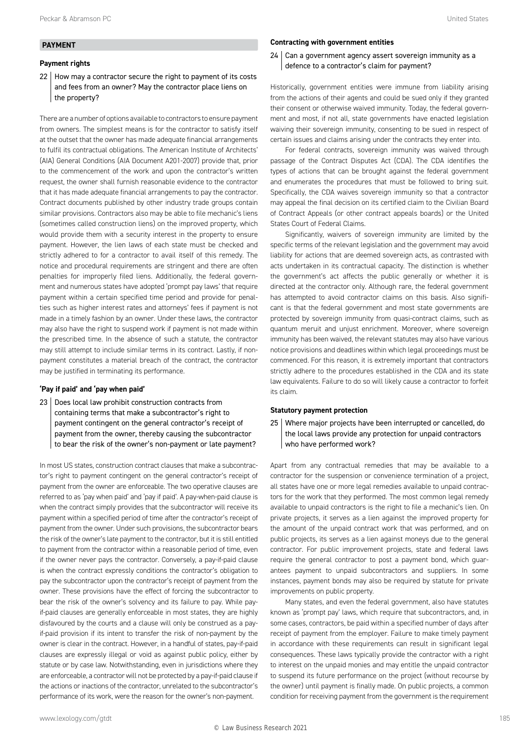#### **PAYMENT**

#### **Payment rights**

22 | How may a contractor secure the right to payment of its costs and fees from an owner? May the contractor place liens on the property?

There are a number of options available to contractors to ensure payment from owners. The simplest means is for the contractor to satisfy itself at the outset that the owner has made adequate financial arrangements to fulfil its contractual obligations. The American Institute of Architects' (AIA) General Conditions (AIA Document A201-2007) provide that, prior to the commencement of the work and upon the contractor's written request, the owner shall furnish reasonable evidence to the contractor that it has made adequate financial arrangements to pay the contractor. Contract documents published by other industry trade groups contain similar provisions. Contractors also may be able to file mechanic's liens (sometimes called construction liens) on the improved property, which would provide them with a security interest in the property to ensure payment. However, the lien laws of each state must be checked and strictly adhered to for a contractor to avail itself of this remedy. The notice and procedural requirements are stringent and there are often penalties for improperly filed liens. Additionally, the federal government and numerous states have adopted 'prompt pay laws' that require payment within a certain specified time period and provide for penalties such as higher interest rates and attorneys' fees if payment is not made in a timely fashion by an owner. Under these laws, the contractor may also have the right to suspend work if payment is not made within the prescribed time. In the absence of such a statute, the contractor may still attempt to include similar terms in its contract. Lastly, if nonpayment constitutes a material breach of the contract, the contractor may be justified in terminating its performance.

#### **'Pay if paid' and 'pay when paid'**

23 | Does local law prohibit construction contracts from containing terms that make a subcontractor's right to payment contingent on the general contractor's receipt of payment from the owner, thereby causing the subcontractor to bear the risk of the owner's non-payment or late payment?

In most US states, construction contract clauses that make a subcontractor's right to payment contingent on the general contractor's receipt of payment from the owner are enforceable. The two operative clauses are referred to as 'pay when paid' and 'pay if paid'. A pay-when-paid clause is when the contract simply provides that the subcontractor will receive its payment within a specified period of time after the contractor's receipt of payment from the owner. Under such provisions, the subcontractor bears the risk of the owner's late payment to the contractor, but it is still entitled to payment from the contractor within a reasonable period of time, even if the owner never pays the contractor. Conversely, a pay-if-paid clause is when the contract expressly conditions the contractor's obligation to pay the subcontractor upon the contractor's receipt of payment from the owner. These provisions have the effect of forcing the subcontractor to bear the risk of the owner's solvency and its failure to pay. While payif-paid clauses are generally enforceable in most states, they are highly disfavoured by the courts and a clause will only be construed as a payif-paid provision if its intent to transfer the risk of non-payment by the owner is clear in the contract. However, in a handful of states, pay-if-paid clauses are expressly illegal or void as against public policy, either by statute or by case law. Notwithstanding, even in jurisdictions where they are enforceable, a contractor will not be protected by a pay-if-paid clause if the actions or inactions of the contractor, unrelated to the subcontractor's performance of its work, were the reason for the owner's non-payment.

#### **Contracting with government entities**

24 Can a government agency assert sovereign immunity as a defence to a contractor's claim for payment?

Historically, government entities were immune from liability arising from the actions of their agents and could be sued only if they granted their consent or otherwise waived immunity. Today, the federal government and most, if not all, state governments have enacted legislation waiving their sovereign immunity, consenting to be sued in respect of certain issues and claims arising under the contracts they enter into.

For federal contracts, sovereign immunity was waived through passage of the Contract Disputes Act (CDA). The CDA identifies the types of actions that can be brought against the federal government and enumerates the procedures that must be followed to bring suit. Specifically, the CDA waives sovereign immunity so that a contractor may appeal the final decision on its certified claim to the Civilian Board of Contract Appeals (or other contract appeals boards) or the United States Court of Federal Claims.

Significantly, waivers of sovereign immunity are limited by the specific terms of the relevant legislation and the government may avoid liability for actions that are deemed sovereign acts, as contrasted with acts undertaken in its contractual capacity. The distinction is whether the government's act affects the public generally or whether it is directed at the contractor only. Although rare, the federal government has attempted to avoid contractor claims on this basis. Also significant is that the federal government and most state governments are protected by sovereign immunity from quasi-contract claims, such as quantum meruit and unjust enrichment. Moreover, where sovereign immunity has been waived, the relevant statutes may also have various notice provisions and deadlines within which legal proceedings must be commenced. For this reason, it is extremely important that contractors strictly adhere to the procedures established in the CDA and its state law equivalents. Failure to do so will likely cause a contractor to forfeit its claim.

#### **Statutory payment protection**

25 Where major projects have been interrupted or cancelled, do the local laws provide any protection for unpaid contractors who have performed work?

Apart from any contractual remedies that may be available to a contractor for the suspension or convenience termination of a project, all states have one or more legal remedies available to unpaid contractors for the work that they performed. The most common legal remedy available to unpaid contractors is the right to file a mechanic's lien. On private projects, it serves as a lien against the improved property for the amount of the unpaid contract work that was performed, and on public projects, its serves as a lien against moneys due to the general contractor. For public improvement projects, state and federal laws require the general contractor to post a payment bond, which guarantees payment to unpaid subcontractors and suppliers. In some instances, payment bonds may also be required by statute for private improvements on public property.

Many states, and even the federal government, also have statutes known as 'prompt pay' laws, which require that subcontractors, and, in some cases, contractors, be paid within a specified number of days after receipt of payment from the employer. Failure to make timely payment in accordance with these requirements can result in significant legal consequences. These laws typically provide the contractor with a right to interest on the unpaid monies and may entitle the unpaid contractor to suspend its future performance on the project (without recourse by the owner) until payment is finally made. On public projects, a common condition for receiving payment from the government is the requirement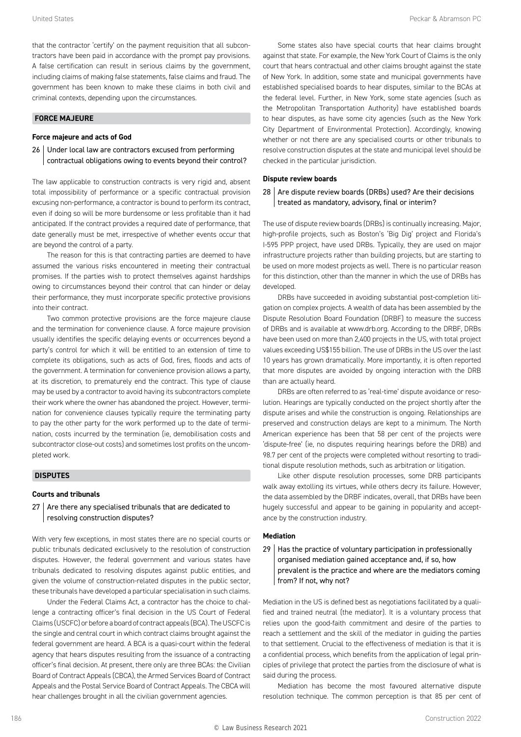that the contractor 'certify' on the payment requisition that all subcontractors have been paid in accordance with the prompt pay provisions. A false certification can result in serious claims by the government, including claims of making false statements, false claims and fraud. The government has been known to make these claims in both civil and criminal contexts, depending upon the circumstances.

#### **FORCE MAJEURE**

#### **Force majeure and acts of God**

26 Under local law are contractors excused from performing contractual obligations owing to events beyond their control?

The law applicable to construction contracts is very rigid and, absent total impossibility of performance or a specific contractual provision excusing non-performance, a contractor is bound to perform its contract, even if doing so will be more burdensome or less profitable than it had anticipated. If the contract provides a required date of performance, that date generally must be met, irrespective of whether events occur that are beyond the control of a party.

The reason for this is that contracting parties are deemed to have assumed the various risks encountered in meeting their contractual promises. If the parties wish to protect themselves against hardships owing to circumstances beyond their control that can hinder or delay their performance, they must incorporate specific protective provisions into their contract.

Two common protective provisions are the force majeure clause and the termination for convenience clause. A force majeure provision usually identifies the specific delaying events or occurrences beyond a party's control for which it will be entitled to an extension of time to complete its obligations, such as acts of God, fires, floods and acts of the government. A termination for convenience provision allows a party, at its discretion, to prematurely end the contract. This type of clause may be used by a contractor to avoid having its subcontractors complete their work where the owner has abandoned the project. However, termination for convenience clauses typically require the terminating party to pay the other party for the work performed up to the date of termination, costs incurred by the termination (ie, demobilisation costs and subcontractor close-out costs) and sometimes lost profits on the uncompleted work.

#### **DISPUTES**

#### **Courts and tribunals**

#### $27$   $\vert$  Are there any specialised tribunals that are dedicated to resolving construction disputes?

With very few exceptions, in most states there are no special courts or public tribunals dedicated exclusively to the resolution of construction disputes. However, the federal government and various states have tribunals dedicated to resolving disputes against public entities, and given the volume of construction-related disputes in the public sector, these tribunals have developed a particular specialisation in such claims.

Under the Federal Claims Act, a contractor has the choice to challenge a contracting officer's final decision in the US Court of Federal Claims (USCFC) or before a board of contract appeals (BCA). The USCFC is the single and central court in which contract claims brought against the federal government are heard. A BCA is a quasi-court within the federal agency that hears disputes resulting from the issuance of a contracting officer's final decision. At present, there only are three BCAs: the Civilian Board of Contract Appeals (CBCA), the Armed Services Board of Contract Appeals and the Postal Service Board of Contract Appeals. The CBCA will hear challenges brought in all the civilian government agencies.

Some states also have special courts that hear claims brought against that state. For example, the New York Court of Claims is the only court that hears contractual and other claims brought against the state of New York. In addition, some state and municipal governments have established specialised boards to hear disputes, similar to the BCAs at the federal level. Further, in New York, some state agencies (such as the Metropolitan Transportation Authority) have established boards to hear disputes, as have some city agencies (such as the New York City Department of Environmental Protection). Accordingly, knowing whether or not there are any specialised courts or other tribunals to resolve construction disputes at the state and municipal level should be checked in the particular jurisdiction.

#### **Dispute review boards**

#### $28$  Are dispute review boards (DRBs) used? Are their decisions treated as mandatory, advisory, final or interim?

The use of dispute review boards (DRBs) is continually increasing. Major, high-profile projects, such as Boston's 'Big Dig' project and Florida's I-595 PPP project, have used DRBs. Typically, they are used on major infrastructure projects rather than building projects, but are starting to be used on more modest projects as well. There is no particular reason for this distinction, other than the manner in which the use of DRBs has developed.

DRBs have succeeded in avoiding substantial post-completion litigation on complex projects. A wealth of data has been assembled by the Dispute Resolution Board Foundation (DRBF) to measure the success of DRBs and is available at www.drb.org. According to the DRBF, DRBs have been used on more than 2,400 projects in the US, with total project values exceeding US\$155 billion. The use of DRBs in the US over the last 10 years has grown dramatically. More importantly, it is often reported that more disputes are avoided by ongoing interaction with the DRB than are actually heard.

DRBs are often referred to as 'real-time' dispute avoidance or resolution. Hearings are typically conducted on the project shortly after the dispute arises and while the construction is ongoing. Relationships are preserved and construction delays are kept to a minimum. The North American experience has been that 58 per cent of the projects were 'dispute-free' (ie, no disputes requiring hearings before the DRB) and 98.7 per cent of the projects were completed without resorting to traditional dispute resolution methods, such as arbitration or litigation.

Like other dispute resolution processes, some DRB participants walk away extolling its virtues, while others decry its failure. However, the data assembled by the DRBF indicates, overall, that DRBs have been hugely successful and appear to be gaining in popularity and acceptance by the construction industry.

#### **Mediation**

#### 29 | Has the practice of voluntary participation in professionally organised mediation gained acceptance and, if so, how prevalent is the practice and where are the mediators coming from? If not, why not?

Mediation in the US is defined best as negotiations facilitated by a qualified and trained neutral (the mediator). It is a voluntary process that relies upon the good-faith commitment and desire of the parties to reach a settlement and the skill of the mediator in guiding the parties to that settlement. Crucial to the effectiveness of mediation is that it is a confidential process, which benefits from the application of legal principles of privilege that protect the parties from the disclosure of what is said during the process.

Mediation has become the most favoured alternative dispute resolution technique. The common perception is that 85 per cent of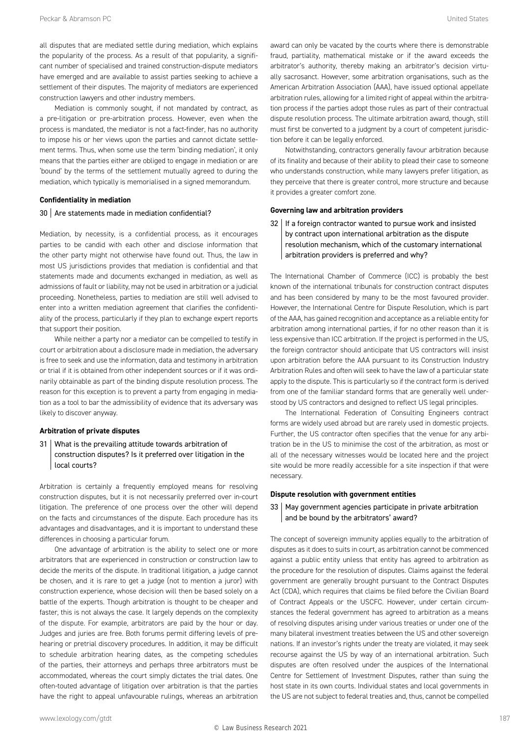all disputes that are mediated settle during mediation, which explains the popularity of the process. As a result of that popularity, a significant number of specialised and trained construction-dispute mediators have emerged and are available to assist parties seeking to achieve a settlement of their disputes. The majority of mediators are experienced construction lawyers and other industry members.

Mediation is commonly sought, if not mandated by contract, as a pre-litigation or pre-arbitration process. However, even when the process is mandated, the mediator is not a fact-finder, has no authority to impose his or her views upon the parties and cannot dictate settlement terms. Thus, when some use the term 'binding mediation', it only means that the parties either are obliged to engage in mediation or are 'bound' by the terms of the settlement mutually agreed to during the mediation, which typically is memorialised in a signed memorandum.

#### **Confidentiality in mediation**

#### 30 Are statements made in mediation confidential?

Mediation, by necessity, is a confidential process, as it encourages parties to be candid with each other and disclose information that the other party might not otherwise have found out. Thus, the law in most US jurisdictions provides that mediation is confidential and that statements made and documents exchanged in mediation, as well as admissions of fault or liability, may not be used in arbitration or a judicial proceeding. Nonetheless, parties to mediation are still well advised to enter into a written mediation agreement that clarifies the confidentiality of the process, particularly if they plan to exchange expert reports that support their position.

While neither a party nor a mediator can be compelled to testify in court or arbitration about a disclosure made in mediation, the adversary is free to seek and use the information, data and testimony in arbitration or trial if it is obtained from other independent sources or if it was ordinarily obtainable as part of the binding dispute resolution process. The reason for this exception is to prevent a party from engaging in mediation as a tool to bar the admissibility of evidence that its adversary was likely to discover anyway.

#### **Arbitration of private disputes**

31 What is the prevailing attitude towards arbitration of construction disputes? Is it preferred over litigation in the local courts?

Arbitration is certainly a frequently employed means for resolving construction disputes, but it is not necessarily preferred over in-court litigation. The preference of one process over the other will depend on the facts and circumstances of the dispute. Each procedure has its advantages and disadvantages, and it is important to understand these differences in choosing a particular forum.

One advantage of arbitration is the ability to select one or more arbitrators that are experienced in construction or construction law to decide the merits of the dispute. In traditional litigation, a judge cannot be chosen, and it is rare to get a judge (not to mention a juror) with construction experience, whose decision will then be based solely on a battle of the experts. Though arbitration is thought to be cheaper and faster, this is not always the case. It largely depends on the complexity of the dispute. For example, arbitrators are paid by the hour or day. Judges and juries are free. Both forums permit differing levels of prehearing or pretrial discovery procedures. In addition, it may be difficult to schedule arbitration hearing dates, as the competing schedules of the parties, their attorneys and perhaps three arbitrators must be accommodated, whereas the court simply dictates the trial dates. One often-touted advantage of litigation over arbitration is that the parties have the right to appeal unfavourable rulings, whereas an arbitration award can only be vacated by the courts where there is demonstrable fraud, partiality, mathematical mistake or if the award exceeds the arbitrator's authority, thereby making an arbitrator's decision virtually sacrosanct. However, some arbitration organisations, such as the American Arbitration Association (AAA), have issued optional appellate arbitration rules, allowing for a limited right of appeal within the arbitration process if the parties adopt those rules as part of their contractual dispute resolution process. The ultimate arbitration award, though, still must first be converted to a judgment by a court of competent jurisdiction before it can be legally enforced.

Notwithstanding, contractors generally favour arbitration because of its finality and because of their ability to plead their case to someone who understands construction, while many lawyers prefer litigation, as they perceive that there is greater control, more structure and because it provides a greater comfort zone.

#### **Governing law and arbitration providers**

32 If a foreign contractor wanted to pursue work and insisted by contract upon international arbitration as the dispute resolution mechanism, which of the customary international arbitration providers is preferred and why?

The International Chamber of Commerce (ICC) is probably the best known of the international tribunals for construction contract disputes and has been considered by many to be the most favoured provider. However, the International Centre for Dispute Resolution, which is part of the AAA, has gained recognition and acceptance as a reliable entity for arbitration among international parties, if for no other reason than it is less expensive than ICC arbitration. If the project is performed in the US, the foreign contractor should anticipate that US contractors will insist upon arbitration before the AAA pursuant to its Construction Industry Arbitration Rules and often will seek to have the law of a particular state apply to the dispute. This is particularly so if the contract form is derived from one of the familiar standard forms that are generally well understood by US contractors and designed to reflect US legal principles.

The International Federation of Consulting Engineers contract forms are widely used abroad but are rarely used in domestic projects. Further, the US contractor often specifies that the venue for any arbitration be in the US to minimise the cost of the arbitration, as most or all of the necessary witnesses would be located here and the project site would be more readily accessible for a site inspection if that were necessary.

#### **Dispute resolution with government entities**

#### 33 May government agencies participate in private arbitration and be bound by the arbitrators' award?

The concept of sovereign immunity applies equally to the arbitration of disputes as it does to suits in court, as arbitration cannot be commenced against a public entity unless that entity has agreed to arbitration as the procedure for the resolution of disputes. Claims against the federal government are generally brought pursuant to the Contract Disputes Act (CDA), which requires that claims be filed before the Civilian Board of Contract Appeals or the USCFC. However, under certain circumstances the federal government has agreed to arbitration as a means of resolving disputes arising under various treaties or under one of the many bilateral investment treaties between the US and other sovereign nations. If an investor's rights under the treaty are violated, it may seek recourse against the US by way of an international arbitration. Such disputes are often resolved under the auspices of the International Centre for Settlement of Investment Disputes, rather than suing the host state in its own courts. Individual states and local governments in the US are not subject to federal treaties and, thus, cannot be compelled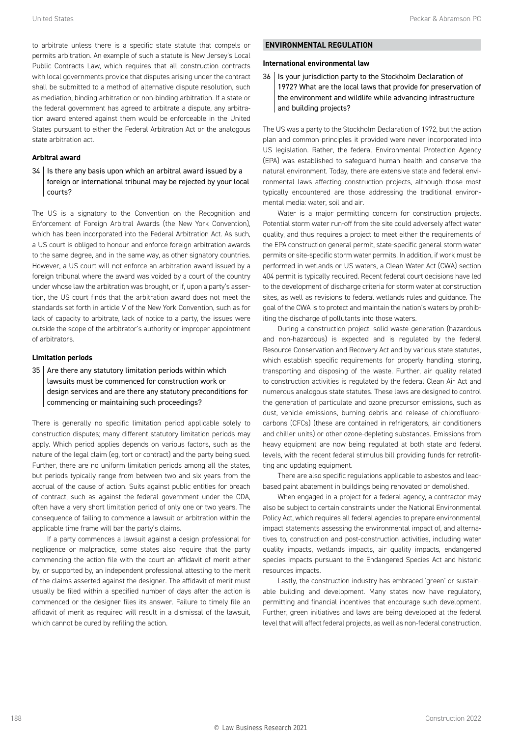to arbitrate unless there is a specific state statute that compels or permits arbitration. An example of such a statute is New Jersey's Local Public Contracts Law, which requires that all construction contracts with local governments provide that disputes arising under the contract shall be submitted to a method of alternative dispute resolution, such as mediation, binding arbitration or non-binding arbitration. If a state or the federal government has agreed to arbitrate a dispute, any arbitration award entered against them would be enforceable in the United States pursuant to either the Federal Arbitration Act or the analogous state arbitration act.

#### **Arbitral award**

34 | Is there any basis upon which an arbitral award issued by a foreign or international tribunal may be rejected by your local courts?

The US is a signatory to the Convention on the Recognition and Enforcement of Foreign Arbitral Awards (the New York Convention), which has been incorporated into the Federal Arbitration Act. As such, a US court is obliged to honour and enforce foreign arbitration awards to the same degree, and in the same way, as other signatory countries. However, a US court will not enforce an arbitration award issued by a foreign tribunal where the award was voided by a court of the country under whose law the arbitration was brought, or if, upon a party's assertion, the US court finds that the arbitration award does not meet the standards set forth in article V of the New York Convention, such as for lack of capacity to arbitrate, lack of notice to a party, the issues were outside the scope of the arbitrator's authority or improper appointment of arbitrators.

#### **Limitation periods**

 $35$  Are there any statutory limitation periods within which lawsuits must be commenced for construction work or design services and are there any statutory preconditions for commencing or maintaining such proceedings?

There is generally no specific limitation period applicable solely to construction disputes; many different statutory limitation periods may apply. Which period applies depends on various factors, such as the nature of the legal claim (eg, tort or contract) and the party being sued. Further, there are no uniform limitation periods among all the states, but periods typically range from between two and six years from the accrual of the cause of action. Suits against public entities for breach of contract, such as against the federal government under the CDA, often have a very short limitation period of only one or two years. The consequence of failing to commence a lawsuit or arbitration within the applicable time frame will bar the party's claims.

If a party commences a lawsuit against a design professional for negligence or malpractice, some states also require that the party commencing the action file with the court an affidavit of merit either by, or supported by, an independent professional attesting to the merit of the claims asserted against the designer. The affidavit of merit must usually be filed within a specified number of days after the action is commenced or the designer files its answer. Failure to timely file an affidavit of merit as required will result in a dismissal of the lawsuit, which cannot be cured by refiling the action.

#### **ENVIRONMENTAL REGULATION**

#### **International environmental law**

36 | Is your jurisdiction party to the Stockholm Declaration of 1972? What are the local laws that provide for preservation of the environment and wildlife while advancing infrastructure and building projects?

The US was a party to the Stockholm Declaration of 1972, but the action plan and common principles it provided were never incorporated into US legislation. Rather, the federal Environmental Protection Agency (EPA) was established to safeguard human health and conserve the natural environment. Today, there are extensive state and federal environmental laws affecting construction projects, although those most typically encountered are those addressing the traditional environmental media: water, soil and air.

Water is a major permitting concern for construction projects. Potential storm water run-off from the site could adversely affect water quality, and thus requires a project to meet either the requirements of the EPA construction general permit, state-specific general storm water permits or site-specific storm water permits. In addition, if work must be performed in wetlands or US waters, a Clean Water Act (CWA) section 404 permit is typically required. Recent federal court decisions have led to the development of discharge criteria for storm water at construction sites, as well as revisions to federal wetlands rules and guidance. The goal of the CWA is to protect and maintain the nation's waters by prohibiting the discharge of pollutants into those waters.

During a construction project, solid waste generation (hazardous and non-hazardous) is expected and is regulated by the federal Resource Conservation and Recovery Act and by various state statutes, which establish specific requirements for properly handling, storing, transporting and disposing of the waste. Further, air quality related to construction activities is regulated by the federal Clean Air Act and numerous analogous state statutes. These laws are designed to control the generation of particulate and ozone precursor emissions, such as dust, vehicle emissions, burning debris and release of chlorofluorocarbons (CFCs) (these are contained in refrigerators, air conditioners and chiller units) or other ozone-depleting substances. Emissions from heavy equipment are now being regulated at both state and federal levels, with the recent federal stimulus bill providing funds for retrofitting and updating equipment.

There are also specific regulations applicable to asbestos and leadbased paint abatement in buildings being renovated or demolished.

When engaged in a project for a federal agency, a contractor may also be subject to certain constraints under the National Environmental Policy Act, which requires all federal agencies to prepare environmental impact statements assessing the environmental impact of, and alternatives to, construction and post-construction activities, including water quality impacts, wetlands impacts, air quality impacts, endangered species impacts pursuant to the Endangered Species Act and historic resources impacts.

Lastly, the construction industry has embraced 'green' or sustainable building and development. Many states now have regulatory, permitting and financial incentives that encourage such development. Further, green initiatives and laws are being developed at the federal level that will affect federal projects, as well as non-federal construction.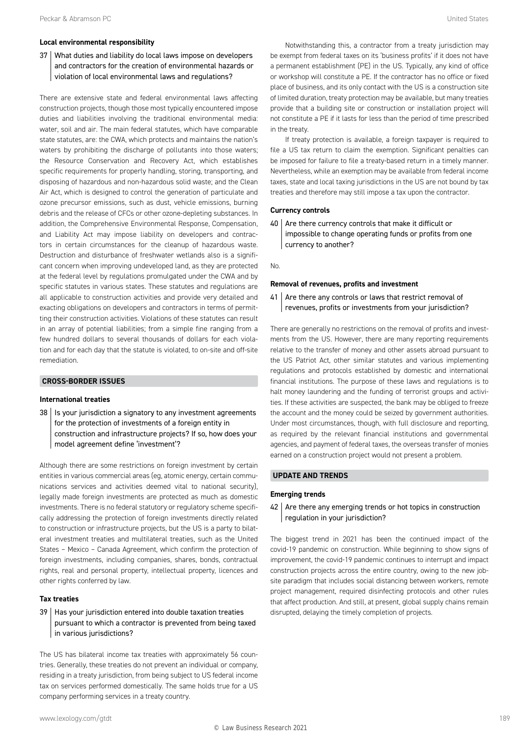#### **Local environmental responsibility**

#### 37 What duties and liability do local laws impose on developers and contractors for the creation of environmental hazards or violation of local environmental laws and regulations?

There are extensive state and federal environmental laws affecting construction projects, though those most typically encountered impose duties and liabilities involving the traditional environmental media: water, soil and air. The main federal statutes, which have comparable state statutes, are: the CWA, which protects and maintains the nation's waters by prohibiting the discharge of pollutants into those waters: the Resource Conservation and Recovery Act, which establishes specific requirements for properly handling, storing, transporting, and disposing of hazardous and non-hazardous solid waste; and the Clean Air Act, which is designed to control the generation of particulate and ozone precursor emissions, such as dust, vehicle emissions, burning debris and the release of CFCs or other ozone-depleting substances. In addition, the Comprehensive Environmental Response, Compensation, and Liability Act may impose liability on developers and contractors in certain circumstances for the cleanup of hazardous waste. Destruction and disturbance of freshwater wetlands also is a significant concern when improving undeveloped land, as they are protected at the federal level by regulations promulgated under the CWA and by specific statutes in various states. These statutes and regulations are all applicable to construction activities and provide very detailed and exacting obligations on developers and contractors in terms of permitting their construction activities. Violations of these statutes can result in an array of potential liabilities; from a simple fine ranging from a few hundred dollars to several thousands of dollars for each violation and for each day that the statute is violated, to on-site and off-site remediation.

#### **CROSS-BORDER ISSUES**

#### **International treaties**

38 | Is your jurisdiction a signatory to any investment agreements for the protection of investments of a foreign entity in construction and infrastructure projects? If so, how does your model agreement define 'investment'?

Although there are some restrictions on foreign investment by certain entities in various commercial areas (eg, atomic energy, certain communications services and activities deemed vital to national security), legally made foreign investments are protected as much as domestic investments. There is no federal statutory or regulatory scheme specifically addressing the protection of foreign investments directly related to construction or infrastructure projects, but the US is a party to bilateral investment treaties and multilateral treaties, such as the United States – Mexico – Canada Agreement, which confirm the protection of foreign investments, including companies, shares, bonds, contractual rights, real and personal property, intellectual property, licences and other rights conferred by law.

#### **Tax treaties**

39 Has your jurisdiction entered into double taxation treaties pursuant to which a contractor is prevented from being taxed in various jurisdictions?

The US has bilateral income tax treaties with approximately 56 countries. Generally, these treaties do not prevent an individual or company, residing in a treaty jurisdiction, from being subject to US federal income tax on services performed domestically. The same holds true for a US company performing services in a treaty country.

Notwithstanding this, a contractor from a treaty jurisdiction may be exempt from federal taxes on its 'business profits' if it does not have a permanent establishment (PE) in the US. Typically, any kind of office or workshop will constitute a PE. If the contractor has no office or fixed place of business, and its only contact with the US is a construction site of limited duration, treaty protection may be available, but many treaties provide that a building site or construction or installation project will not constitute a PE if it lasts for less than the period of time prescribed in the treaty.

If treaty protection is available, a foreign taxpayer is required to file a US tax return to claim the exemption. Significant penalties can be imposed for failure to file a treaty-based return in a timely manner. Nevertheless, while an exemption may be available from federal income taxes, state and local taxing jurisdictions in the US are not bound by tax treaties and therefore may still impose a tax upon the contractor.

#### **Currency controls**

 $40$  Are there currency controls that make it difficult or impossible to change operating funds or profits from one currency to another?

#### No.

#### **Removal of revenues, profits and investment**

 $41$  Are there any controls or laws that restrict removal of revenues, profits or investments from your jurisdiction?

There are generally no restrictions on the removal of profits and investments from the US. However, there are many reporting requirements relative to the transfer of money and other assets abroad pursuant to the US Patriot Act, other similar statutes and various implementing regulations and protocols established by domestic and international financial institutions. The purpose of these laws and regulations is to halt money laundering and the funding of terrorist groups and activities. If these activities are suspected, the bank may be obliged to freeze the account and the money could be seized by government authorities. Under most circumstances, though, with full disclosure and reporting, as required by the relevant financial institutions and governmental agencies, and payment of federal taxes, the overseas transfer of monies earned on a construction project would not present a problem.

#### **UPDATE AND TRENDS**

#### **Emerging trends**

#### $42$   $\vert$  Are there any emerging trends or hot topics in construction regulation in your jurisdiction?

The biggest trend in 2021 has been the continued impact of the covid-19 pandemic on construction. While beginning to show signs of improvement, the covid-19 pandemic continues to interrupt and impact construction projects across the entire country, owing to the new jobsite paradigm that includes social distancing between workers, remote project management, required disinfecting protocols and other rules that affect production. And still, at present, global supply chains remain disrupted, delaying the timely completion of projects.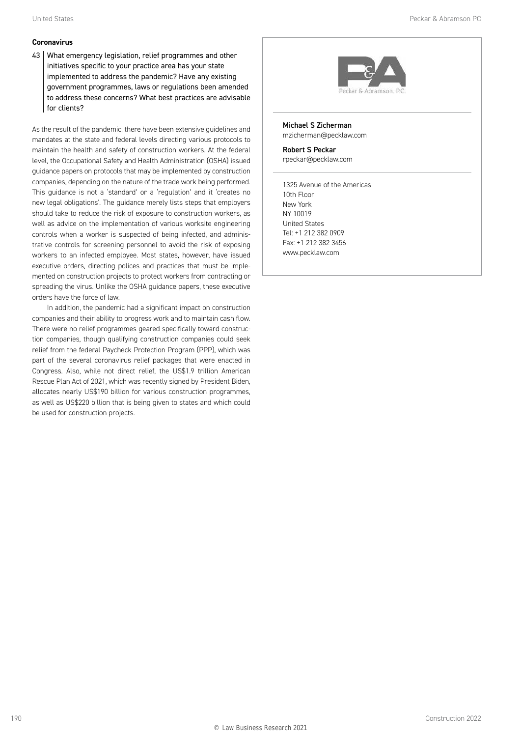#### **Coronavirus**

43 What emergency legislation, relief programmes and other initiatives specific to your practice area has your state implemented to address the pandemic? Have any existing government programmes, laws or regulations been amended to address these concerns? What best practices are advisable for clients?

As the result of the pandemic, there have been extensive guidelines and mandates at the state and federal levels directing various protocols to maintain the health and safety of construction workers. At the federal level, the Occupational Safety and Health Administration (OSHA) issued guidance papers on protocols that may be implemented by construction companies, depending on the nature of the trade work being performed. This guidance is not a 'standard' or a 'regulation' and it 'creates no new legal obligations'. The guidance merely lists steps that employers should take to reduce the risk of exposure to construction workers, as well as advice on the implementation of various worksite engineering controls when a worker is suspected of being infected, and administrative controls for screening personnel to avoid the risk of exposing workers to an infected employee. Most states, however, have issued executive orders, directing polices and practices that must be implemented on construction projects to protect workers from contracting or spreading the virus. Unlike the OSHA guidance papers, these executive orders have the force of law.

In addition, the pandemic had a significant impact on construction companies and their ability to progress work and to maintain cash flow. There were no relief programmes geared specifically toward construction companies, though qualifying construction companies could seek relief from the federal Paycheck Protection Program (PPP), which was part of the several coronavirus relief packages that were enacted in Congress. Also, while not direct relief, the US\$1.9 trillion American Rescue Plan Act of 2021, which was recently signed by President Biden, allocates nearly US\$190 billion for various construction programmes, as well as US\$220 billion that is being given to states and which could be used for construction projects.



Michael S Zicherman mzicherman@pecklaw.com Robert S Peckar

rpeckar@pecklaw.com

1325 Avenue of the Americas 10th Floor New York NY 10019 United States Tel: +1 212 382 0909 Fax: +1 212 382 3456 www.pecklaw.com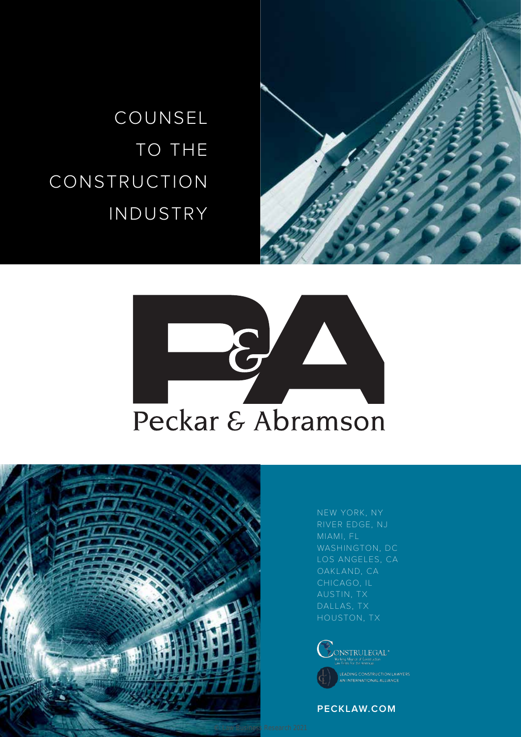

![](_page_17_Picture_1.jpeg)

![](_page_17_Picture_2.jpeg)

![](_page_17_Picture_3.jpeg)

NEW YORK, NY MIAMI, FL

![](_page_17_Picture_5.jpeg)

**PECKLAW.COM PECKLAW.COM**